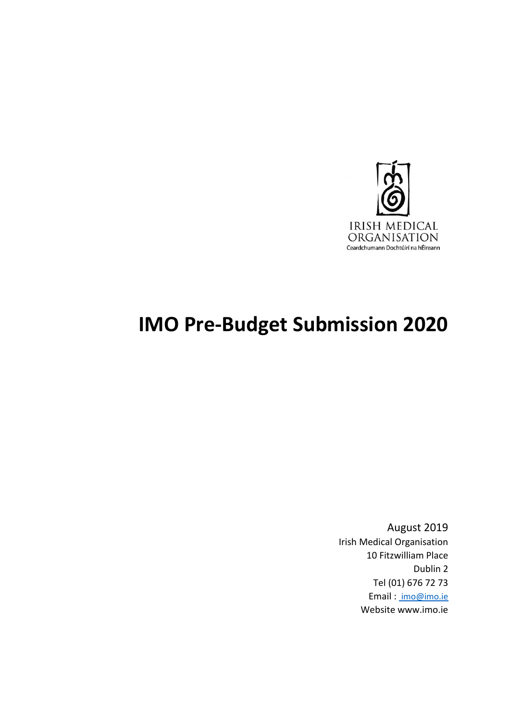

# **IMO Pre-Budget Submission 2020**

August 2019 Irish Medical Organisation 10 Fitzwilliam Place Dublin 2 Tel (01) 676 72 73 Email : [imo@imo.ie](mailto:%20imo@imo.ie) Website www.imo.ie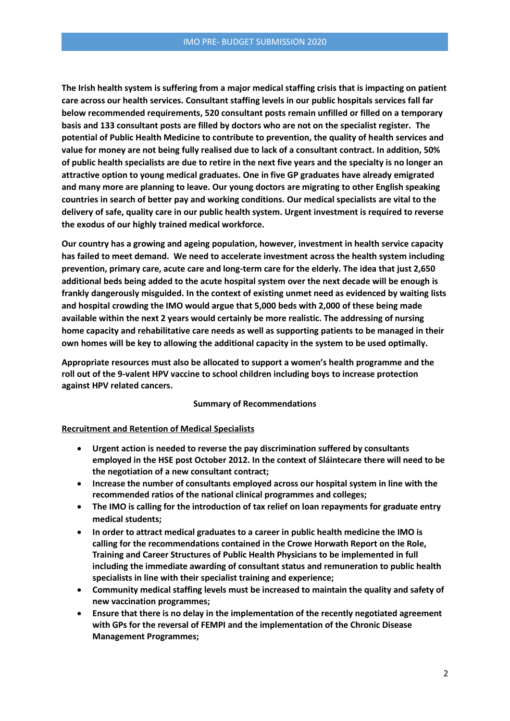**The Irish health system is suffering from a major medical staffing crisis that is impacting on patient care across our health services. Consultant staffing levels in our public hospitals services fall far below recommended requirements, 520 consultant posts remain unfilled or filled on a temporary basis and 133 consultant posts are filled by doctors who are not on the specialist register. The potential of Public Health Medicine to contribute to prevention, the quality of health services and value for money are not being fully realised due to lack of a consultant contract. In addition, 50% of public health specialists are due to retire in the next five years and the specialty is no longer an attractive option to young medical graduates. One in five GP graduates have already emigrated and many more are planning to leave. Our young doctors are migrating to other English speaking countries in search of better pay and working conditions. Our medical specialists are vital to the delivery of safe, quality care in our public health system. Urgent investment is required to reverse the exodus of our highly trained medical workforce.** 

**Our country has a growing and ageing population, however, investment in health service capacity has failed to meet demand. We need to accelerate investment across the health system including prevention, primary care, acute care and long-term care for the elderly. The idea that just 2,650 additional beds being added to the acute hospital system over the next decade will be enough is frankly dangerously misguided. In the context of existing unmet need as evidenced by waiting lists and hospital crowding the IMO would argue that 5,000 beds with 2,000 of these being made available within the next 2 years would certainly be more realistic. The addressing of nursing home capacity and rehabilitative care needs as well as supporting patients to be managed in their own homes will be key to allowing the additional capacity in the system to be used optimally.**

**Appropriate resources must also be allocated to support a women's health programme and the roll out of the 9-valent HPV vaccine to school children including boys to increase protection against HPV related cancers.**

#### **Summary of Recommendations**

#### **Recruitment and Retention of Medical Specialists**

- **Urgent action is needed to reverse the pay discrimination suffered by consultants employed in the HSE post October 2012. In the context of Sláintecare there will need to be the negotiation of a new consultant contract;**
- **Increase the number of consultants employed across our hospital system in line with the recommended ratios of the national clinical programmes and colleges;**
- **The IMO is calling for the introduction of tax relief on loan repayments for graduate entry medical students;**
- **In order to attract medical graduates to a career in public health medicine the IMO is calling for the recommendations contained in the Crowe Horwath Report on the Role, Training and Career Structures of Public Health Physicians to be implemented in full including the immediate awarding of consultant status and remuneration to public health specialists in line with their specialist training and experience;**
- **Community medical staffing levels must be increased to maintain the quality and safety of new vaccination programmes;**
- **Ensure that there is no delay in the implementation of the recently negotiated agreement with GPs for the reversal of FEMPI and the implementation of the Chronic Disease Management Programmes;**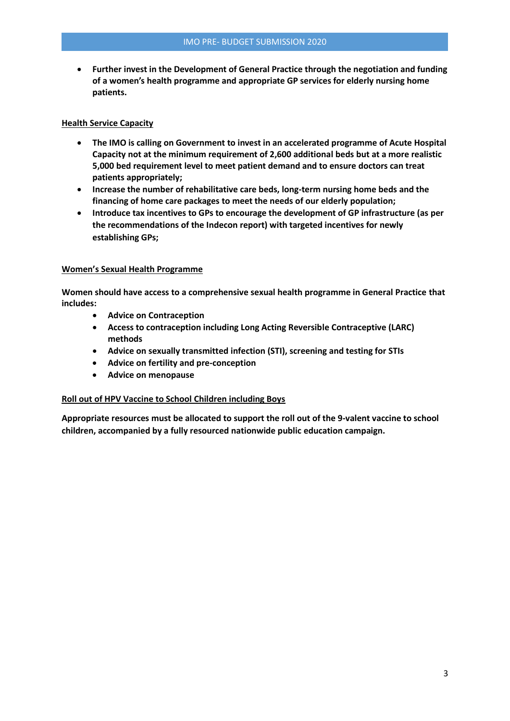**Further invest in the Development of General Practice through the negotiation and funding of a women's health programme and appropriate GP services for elderly nursing home patients.**

## **Health Service Capacity**

- **The IMO is calling on Government to invest in an accelerated programme of Acute Hospital Capacity not at the minimum requirement of 2,600 additional beds but at a more realistic 5,000 bed requirement level to meet patient demand and to ensure doctors can treat patients appropriately;**
- **Increase the number of rehabilitative care beds, long-term nursing home beds and the financing of home care packages to meet the needs of our elderly population;**
- **Introduce tax incentives to GPs to encourage the development of GP infrastructure (as per the recommendations of the Indecon report) with targeted incentives for newly establishing GPs;**

# **Women's Sexual Health Programme**

**Women should have access to a comprehensive sexual health programme in General Practice that includes:** 

- **Advice on Contraception**
- **Access to contraception including Long Acting Reversible Contraceptive (LARC) methods**
- **Advice on sexually transmitted infection (STI), screening and testing for STIs**
- **Advice on fertility and pre-conception**
- **Advice on menopause**

## **Roll out of HPV Vaccine to School Children including Boys**

**Appropriate resources must be allocated to support the roll out of the 9-valent vaccine to school children, accompanied by a fully resourced nationwide public education campaign.**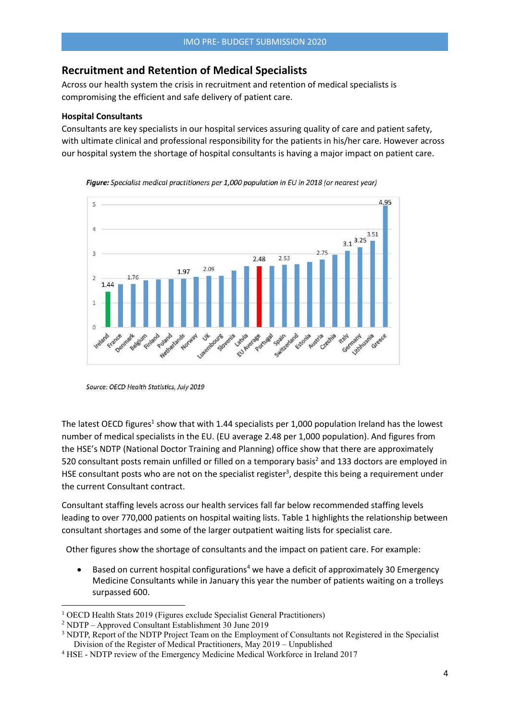# **Recruitment and Retention of Medical Specialists**

Across our health system the crisis in recruitment and retention of medical specialists is compromising the efficient and safe delivery of patient care.

#### **Hospital Consultants**

Consultants are key specialists in our hospital services assuring quality of care and patient safety, with ultimate clinical and professional responsibility for the patients in his/her care. However across our hospital system the shortage of hospital consultants is having a major impact on patient care.



Figure: Specialist medical practitioners per 1,000 population in EU in 2018 (or nearest year)

The latest OECD figures<sup>1</sup> show that with 1.44 specialists per 1,000 population Ireland has the lowest number of medical specialists in the EU. (EU average 2.48 per 1,000 population). And figures from the HSE's NDTP (National Doctor Training and Planning) office show that there are approximately 520 consultant posts remain unfilled or filled on a temporary basis<sup>2</sup> and 133 doctors are employed in HSE consultant posts who are not on the specialist register<sup>3</sup>, despite this being a requirement under the current Consultant contract.

Consultant staffing levels across our health services fall far below recommended staffing levels leading to over 770,000 patients on hospital waiting lists. Table 1 highlights the relationship between consultant shortages and some of the larger outpatient waiting lists for specialist care.

Other figures show the shortage of consultants and the impact on patient care. For example:

Based on current hospital configurations<sup>4</sup> we have a deficit of approximately 30 Emergency Medicine Consultants while in January this year the number of patients waiting on a trolleys surpassed 600.

Source: OECD Health Statistics, July 2019

<sup>1</sup> OECD Health Stats 2019 (Figures exclude Specialist General Practitioners)

<sup>2</sup> NDTP – Approved Consultant Establishment 30 June 2019

<sup>3</sup> NDTP, Report of the NDTP Project Team on the Employment of Consultants not Registered in the Specialist Division of the Register of Medical Practitioners, May 2019 – Unpublished

<sup>4</sup> HSE - NDTP review of the Emergency Medicine Medical Workforce in Ireland 2017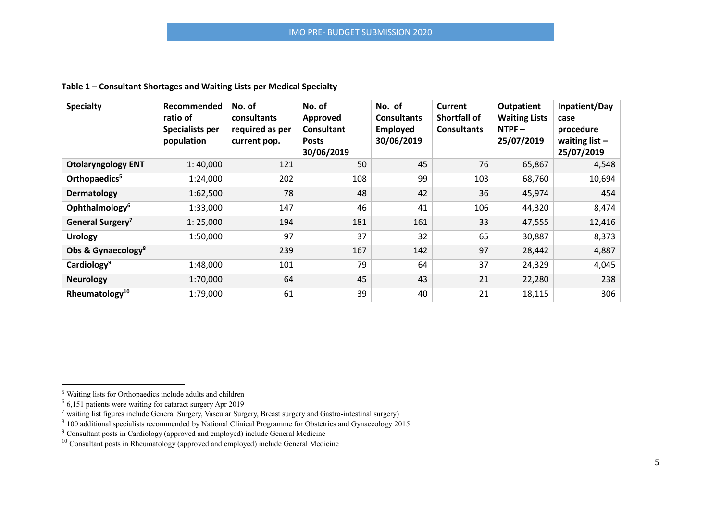# **Table 1 – Consultant Shortages and Waiting Lists per Medical Specialty**

| <b>Specialty</b>               | Recommended<br>ratio of<br>Specialists per<br>population | No. of<br>consultants<br>required as per<br>current pop. | No. of<br>Approved<br><b>Consultant</b><br><b>Posts</b><br>30/06/2019 | No. of<br><b>Consultants</b><br>Employed<br>30/06/2019 | Current<br><b>Shortfall of</b><br><b>Consultants</b> | Outpatient<br><b>Waiting Lists</b><br>$NTPF -$<br>25/07/2019 | Inpatient/Day<br>case<br>procedure<br>waiting list $-$<br>25/07/2019 |
|--------------------------------|----------------------------------------------------------|----------------------------------------------------------|-----------------------------------------------------------------------|--------------------------------------------------------|------------------------------------------------------|--------------------------------------------------------------|----------------------------------------------------------------------|
| <b>Otolaryngology ENT</b>      | 1:40,000                                                 | 121                                                      | 50                                                                    | 45                                                     | 76                                                   | 65,867                                                       | 4,548                                                                |
| Orthopaedics <sup>5</sup>      | 1:24,000                                                 | 202                                                      | 108                                                                   | 99                                                     | 103                                                  | 68,760                                                       | 10,694                                                               |
| Dermatology                    | 1:62,500                                                 | 78                                                       | 48                                                                    | 42                                                     | 36                                                   | 45,974                                                       | 454                                                                  |
| Ophthalmology <sup>6</sup>     | 1:33,000                                                 | 147                                                      | 46                                                                    | 41                                                     | 106                                                  | 44,320                                                       | 8,474                                                                |
| General Surgery <sup>7</sup>   | 1:25,000                                                 | 194                                                      | 181                                                                   | 161                                                    | 33                                                   | 47,555                                                       | 12,416                                                               |
| <b>Urology</b>                 | 1:50,000                                                 | 97                                                       | 37                                                                    | 32                                                     | 65                                                   | 30,887                                                       | 8,373                                                                |
| Obs & Gynaecology <sup>8</sup> |                                                          | 239                                                      | 167                                                                   | 142                                                    | 97                                                   | 28,442                                                       | 4,887                                                                |
| Cardiology <sup>9</sup>        | 1:48,000                                                 | 101                                                      | 79                                                                    | 64                                                     | 37                                                   | 24,329                                                       | 4,045                                                                |
| <b>Neurology</b>               | 1:70,000                                                 | 64                                                       | 45                                                                    | 43                                                     | 21                                                   | 22,280                                                       | 238                                                                  |
| Rheumatology <sup>10</sup>     | 1:79,000                                                 | 61                                                       | 39                                                                    | 40                                                     | 21                                                   | 18,115                                                       | 306                                                                  |

 $\overline{a}$ 

<sup>&</sup>lt;sup>5</sup> Waiting lists for Orthopaedics include adults and children

<sup>6</sup> 6,151 patients were waiting for cataract surgery Apr 2019

<sup>&</sup>lt;sup>7</sup> waiting list figures include General Surgery, Vascular Surgery, Breast surgery and Gastro-intestinal surgery)<br><sup>8</sup> 100 additional specialists recommended by National Clinical Programme for Obstetrics and Gynaecology 20

 $9^9$  Consultant posts in Cardiology (approved and employed) include General Medicine

<sup>&</sup>lt;sup>10</sup> Consultant posts in Rheumatology (approved and employed) include General Medicine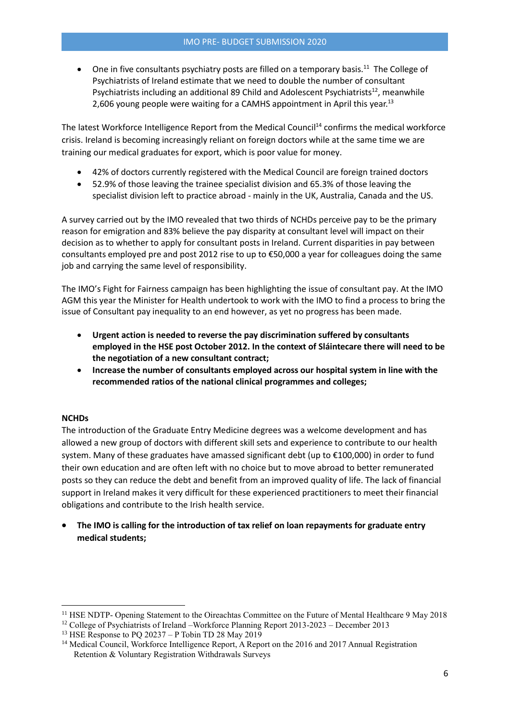• One in five consultants psychiatry posts are filled on a temporary basis.<sup>11</sup> The College of Psychiatrists of Ireland estimate that we need to double the number of consultant Psychiatrists including an additional 89 Child and Adolescent Psychiatrists<sup>12</sup>, meanwhile 2,606 young people were waiting for a CAMHS appointment in April this year.<sup>13</sup>

The latest Workforce Intelligence Report from the Medical Council<sup>14</sup> confirms the medical workforce crisis. Ireland is becoming increasingly reliant on foreign doctors while at the same time we are training our medical graduates for export, which is poor value for money.

- 42% of doctors currently registered with the Medical Council are foreign trained doctors
- 52.9% of those leaving the trainee specialist division and 65.3% of those leaving the specialist division left to practice abroad - mainly in the UK, Australia, Canada and the US.

A survey carried out by the IMO revealed that two thirds of NCHDs perceive pay to be the primary reason for emigration and 83% believe the pay disparity at consultant level will impact on their decision as to whether to apply for consultant posts in Ireland. Current disparities in pay between consultants employed pre and post 2012 rise to up to €50,000 a year for colleagues doing the same job and carrying the same level of responsibility.

The IMO's Fight for Fairness campaign has been highlighting the issue of consultant pay. At the IMO AGM this year the Minister for Health undertook to work with the IMO to find a process to bring the issue of Consultant pay inequality to an end however, as yet no progress has been made.

- **Urgent action is needed to reverse the pay discrimination suffered by consultants employed in the HSE post October 2012. In the context of Sláintecare there will need to be the negotiation of a new consultant contract;**
- **Increase the number of consultants employed across our hospital system in line with the recommended ratios of the national clinical programmes and colleges;**

## **NCHDs**

**.** 

The introduction of the Graduate Entry Medicine degrees was a welcome development and has allowed a new group of doctors with different skill sets and experience to contribute to our health system. Many of these graduates have amassed significant debt (up to €100,000) in order to fund their own education and are often left with no choice but to move abroad to better remunerated posts so they can reduce the debt and benefit from an improved quality of life. The lack of financial support in Ireland makes it very difficult for these experienced practitioners to meet their financial obligations and contribute to the Irish health service.

 **The IMO is calling for the introduction of tax relief on loan repayments for graduate entry medical students;**

<sup>11</sup> HSE NDTP- Opening Statement to the Oireachtas Committee on the Future of Mental Healthcare 9 May 2018

<sup>&</sup>lt;sup>12</sup> College of Psychiatrists of Ireland –Workforce Planning Report 2013-2023 – December 2013

<sup>13</sup> HSE Response to PQ 20237 – P Tobin TD 28 May 2019

<sup>&</sup>lt;sup>14</sup> Medical Council, Workforce Intelligence Report, A Report on the 2016 and 2017 Annual Registration Retention & Voluntary Registration Withdrawals Surveys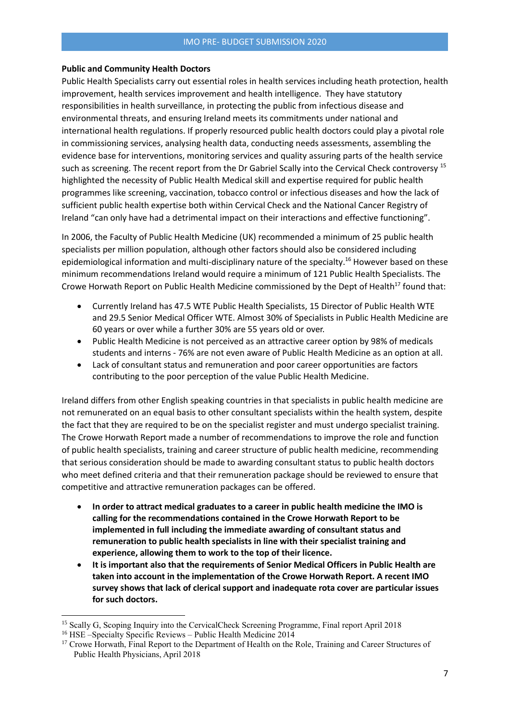#### **Public and Community Health Doctors**

Public Health Specialists carry out essential roles in health services including heath protection, health improvement, health services improvement and health intelligence. They have statutory responsibilities in health surveillance, in protecting the public from infectious disease and environmental threats, and ensuring Ireland meets its commitments under national and international health regulations. If properly resourced public health doctors could play a pivotal role in commissioning services, analysing health data, conducting needs assessments, assembling the evidence base for interventions, monitoring services and quality assuring parts of the health service such as screening. The recent report from the Dr Gabriel Scally into the Cervical Check controversy <sup>15</sup> highlighted the necessity of Public Health Medical skill and expertise required for public health programmes like screening, vaccination, tobacco control or infectious diseases and how the lack of sufficient public health expertise both within Cervical Check and the National Cancer Registry of Ireland "can only have had a detrimental impact on their interactions and effective functioning".

In 2006, the Faculty of Public Health Medicine (UK) recommended a minimum of 25 public health specialists per million population, although other factors should also be considered including epidemiological information and multi-disciplinary nature of the specialty.<sup>16</sup> However based on these minimum recommendations Ireland would require a minimum of 121 Public Health Specialists. The Crowe Horwath Report on Public Health Medicine commissioned by the Dept of Health<sup>17</sup> found that:

- Currently Ireland has 47.5 WTE Public Health Specialists, 15 Director of Public Health WTE and 29.5 Senior Medical Officer WTE. Almost 30% of Specialists in Public Health Medicine are 60 years or over while a further 30% are 55 years old or over.
- Public Health Medicine is not perceived as an attractive career option by 98% of medicals students and interns - 76% are not even aware of Public Health Medicine as an option at all.
- Lack of consultant status and remuneration and poor career opportunities are factors contributing to the poor perception of the value Public Health Medicine.

Ireland differs from other English speaking countries in that specialists in public health medicine are not remunerated on an equal basis to other consultant specialists within the health system, despite the fact that they are required to be on the specialist register and must undergo specialist training. The Crowe Horwath Report made a number of recommendations to improve the role and function of public health specialists, training and career structure of public health medicine, recommending that serious consideration should be made to awarding consultant status to public health doctors who meet defined criteria and that their remuneration package should be reviewed to ensure that competitive and attractive remuneration packages can be offered.

- **In order to attract medical graduates to a career in public health medicine the IMO is calling for the recommendations contained in the Crowe Horwath Report to be implemented in full including the immediate awarding of consultant status and remuneration to public health specialists in line with their specialist training and experience, allowing them to work to the top of their licence.**
- **It is important also that the requirements of Senior Medical Officers in Public Health are taken into account in the implementation of the Crowe Horwath Report. A recent IMO survey shows that lack of clerical support and inadequate rota cover are particular issues for such doctors.**

<sup>&</sup>lt;sup>15</sup> Scally G, Scoping Inquiry into the CervicalCheck Screening Programme, Final report April 2018

<sup>&</sup>lt;sup>16</sup> HSE –Specialty Specific Reviews – Public Health Medicine 2014

<sup>&</sup>lt;sup>17</sup> Crowe Horwath, Final Report to the Department of Health on the Role, Training and Career Structures of Public Health Physicians, April 2018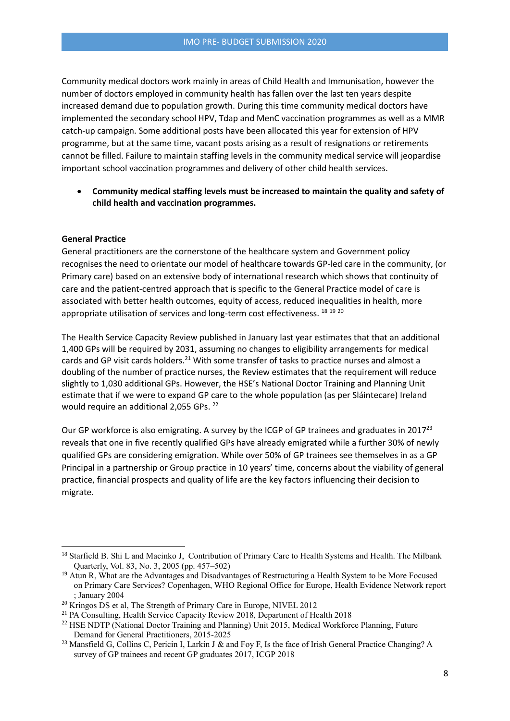Community medical doctors work mainly in areas of Child Health and Immunisation, however the number of doctors employed in community health has fallen over the last ten years despite increased demand due to population growth. During this time community medical doctors have implemented the secondary school HPV, Tdap and MenC vaccination programmes as well as a MMR catch-up campaign. Some additional posts have been allocated this year for extension of HPV programme, but at the same time, vacant posts arising as a result of resignations or retirements cannot be filled. Failure to maintain staffing levels in the community medical service will jeopardise important school vaccination programmes and delivery of other child health services.

 **Community medical staffing levels must be increased to maintain the quality and safety of child health and vaccination programmes.** 

#### **General Practice**

**.** 

General practitioners are the cornerstone of the healthcare system and Government policy recognises the need to orientate our model of healthcare towards GP-led care in the community, (or Primary care) based on an extensive body of international research which shows that continuity of care and the patient-centred approach that is specific to the General Practice model of care is associated with better health outcomes, equity of access, reduced inequalities in health, more appropriate utilisation of services and long-term cost effectiveness. <sup>18 19 20</sup>

The Health Service Capacity Review published in January last year estimates that that an additional 1,400 GPs will be required by 2031, assuming no changes to eligibility arrangements for medical cards and GP visit cards holders.<sup>21</sup> With some transfer of tasks to practice nurses and almost a doubling of the number of practice nurses, the Review estimates that the requirement will reduce slightly to 1,030 additional GPs. However, the HSE's National Doctor Training and Planning Unit estimate that if we were to expand GP care to the whole population (as per Sláintecare) Ireland would require an additional 2,055 GPs. 22

Our GP workforce is also emigrating. A survey by the ICGP of GP trainees and graduates in 2017<sup>23</sup> reveals that one in five recently qualified GPs have already emigrated while a further 30% of newly qualified GPs are considering emigration. While over 50% of GP trainees see themselves in as a GP Principal in a partnership or Group practice in 10 years' time, concerns about the viability of general practice, financial prospects and quality of life are the key factors influencing their decision to migrate.

<sup>&</sup>lt;sup>18</sup> Starfield B. Shi L and Macinko J, Contribution of Primary Care to Health Systems and Health. The Milbank Quarterly, Vol. 83, No. 3, 2005 (pp. 457–502)

<sup>&</sup>lt;sup>19</sup> Atun R, What are the Advantages and Disadvantages of Restructuring a Health System to be More Focused on Primary Care Services? Copenhagen, WHO Regional Office for Europe, Health Evidence Network report ; January 2004

<sup>&</sup>lt;sup>20</sup> Kringos DS et al, The Strength of Primary Care in Europe, NIVEL 2012

<sup>&</sup>lt;sup>21</sup> PA Consulting, Health Service Capacity Review 2018, Department of Health 2018

<sup>&</sup>lt;sup>22</sup> HSE NDTP (National Doctor Training and Planning) Unit 2015, Medical Workforce Planning, Future Demand for General Practitioners, 2015-2025

<sup>&</sup>lt;sup>23</sup> Mansfield G, Collins C, Pericin I, Larkin J & and Foy F, Is the face of Irish General Practice Changing? A survey of GP trainees and recent GP graduates 2017, ICGP 2018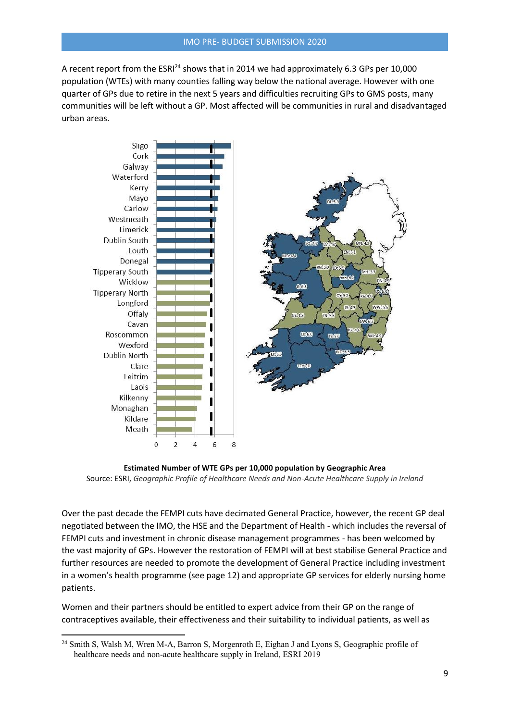A recent report from the ESRI<sup>24</sup> shows that in 2014 we had approximately 6.3 GPs per 10,000 population (WTEs) with many counties falling way below the national average. However with one quarter of GPs due to retire in the next 5 years and difficulties recruiting GPs to GMS posts, many communities will be left without a GP. Most affected will be communities in rural and disadvantaged urban areas.



**Estimated Number of WTE GPs per 10,000 population by Geographic Area** Source: ESRI, *Geographic Profile of Healthcare Needs and Non-Acute Healthcare Supply in Ireland* 

Over the past decade the FEMPI cuts have decimated General Practice, however, the recent GP deal negotiated between the IMO, the HSE and the Department of Health - which includes the reversal of FEMPI cuts and investment in chronic disease management programmes - has been welcomed by the vast majority of GPs. However the restoration of FEMPI will at best stabilise General Practice and further resources are needed to promote the development of General Practice including investment in a women's health programme (see page 12) and appropriate GP services for elderly nursing home patients.

Women and their partners should be entitled to expert advice from their GP on the range of contraceptives available, their effectiveness and their suitability to individual patients, as well as

<sup>&</sup>lt;sup>24</sup> Smith S, Walsh M, Wren M-A, Barron S, Morgenroth E, Eighan J and Lyons S, Geographic profile of healthcare needs and non-acute healthcare supply in Ireland, ESRI 2019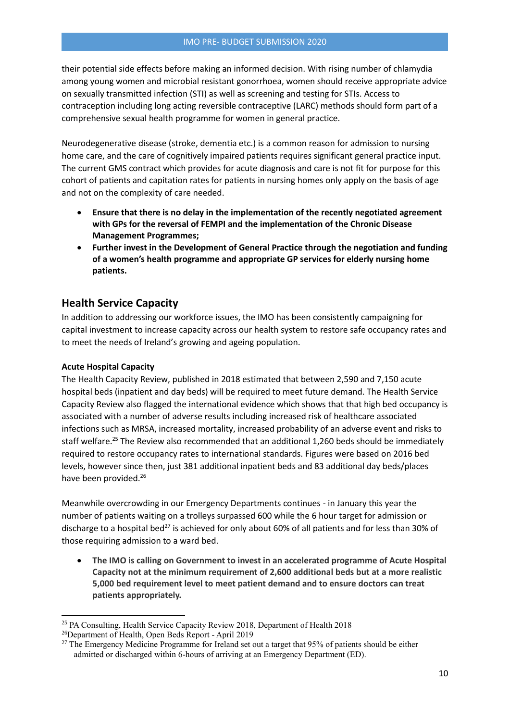### IMO PRE- BUDGET SUBMISSION 2020

their potential side effects before making an informed decision. With rising number of chlamydia among young women and microbial resistant gonorrhoea, women should receive appropriate advice on sexually transmitted infection (STI) as well as screening and testing for STIs. Access to contraception including long acting reversible contraceptive (LARC) methods should form part of a comprehensive sexual health programme for women in general practice.

Neurodegenerative disease (stroke, dementia etc.) is a common reason for admission to nursing home care, and the care of cognitively impaired patients requires significant general practice input. The current GMS contract which provides for acute diagnosis and care is not fit for purpose for this cohort of patients and capitation rates for patients in nursing homes only apply on the basis of age and not on the complexity of care needed.

- **Ensure that there is no delay in the implementation of the recently negotiated agreement with GPs for the reversal of FEMPI and the implementation of the Chronic Disease Management Programmes;**
- **Further invest in the Development of General Practice through the negotiation and funding of a women's health programme and appropriate GP services for elderly nursing home patients.**

# **Health Service Capacity**

In addition to addressing our workforce issues, the IMO has been consistently campaigning for capital investment to increase capacity across our health system to restore safe occupancy rates and to meet the needs of Ireland's growing and ageing population.

# **Acute Hospital Capacity**

**.** 

The Health Capacity Review, published in 2018 estimated that between 2,590 and 7,150 acute hospital beds (inpatient and day beds) will be required to meet future demand. The Health Service Capacity Review also flagged the international evidence which shows that that high bed occupancy is associated with a number of adverse results including increased risk of healthcare associated infections such as MRSA, increased mortality, increased probability of an adverse event and risks to staff welfare.<sup>25</sup> The Review also recommended that an additional 1,260 beds should be immediately required to restore occupancy rates to international standards. Figures were based on 2016 bed levels, however since then, just 381 additional inpatient beds and 83 additional day beds/places have been provided.<sup>26</sup>

Meanwhile overcrowding in our Emergency Departments continues - in January this year the number of patients waiting on a trolleys surpassed 600 while the 6 hour target for admission or discharge to a hospital bed<sup>27</sup> is achieved for only about 60% of all patients and for less than 30% of those requiring admission to a ward bed.

 **The IMO is calling on Government to invest in an accelerated programme of Acute Hospital Capacity not at the minimum requirement of 2,600 additional beds but at a more realistic 5,000 bed requirement level to meet patient demand and to ensure doctors can treat patients appropriately.**

<sup>&</sup>lt;sup>25</sup> PA Consulting, Health Service Capacity Review 2018, Department of Health 2018

<sup>26</sup>Department of Health, Open Beds Report - April 2019

<sup>&</sup>lt;sup>27</sup> The Emergency Medicine Programme for Ireland set out a target that 95% of patients should be either admitted or discharged within 6-hours of arriving at an Emergency Department (ED).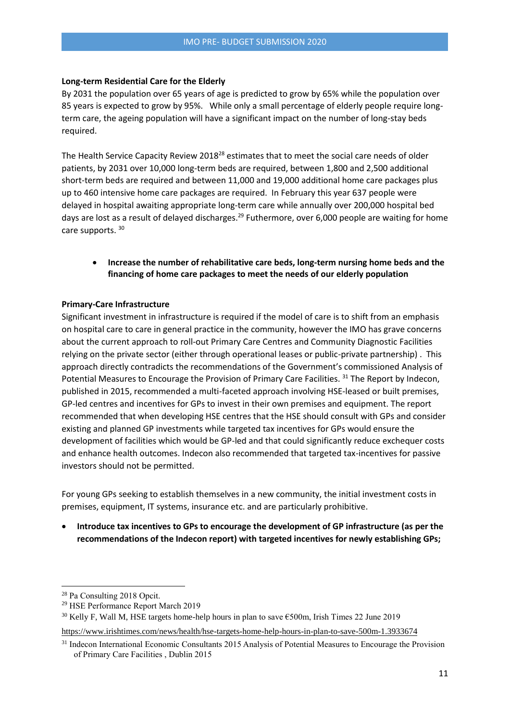#### **Long-term Residential Care for the Elderly**

By 2031 the population over 65 years of age is predicted to grow by 65% while the population over 85 years is expected to grow by 95%. While only a small percentage of elderly people require longterm care, the ageing population will have a significant impact on the number of long-stay beds required.

The Health Service Capacity Review 2018<sup>28</sup> estimates that to meet the social care needs of older patients, by 2031 over 10,000 long-term beds are required, between 1,800 and 2,500 additional short-term beds are required and between 11,000 and 19,000 additional home care packages plus up to 460 intensive home care packages are required. In February this year 637 people were delayed in hospital awaiting appropriate long-term care while annually over 200,000 hospital bed days are lost as a result of delayed discharges.<sup>29</sup> Futhermore, over 6,000 people are waiting for home care supports. <sup>30</sup>

# **Increase the number of rehabilitative care beds, long-term nursing home beds and the financing of home care packages to meet the needs of our elderly population**

#### **Primary-Care Infrastructure**

Significant investment in infrastructure is required if the model of care is to shift from an emphasis on hospital care to care in general practice in the community, however the IMO has grave concerns about the current approach to roll-out Primary Care Centres and Community Diagnostic Facilities relying on the private sector (either through operational leases or public-private partnership) . This approach directly contradicts the recommendations of the Government's commissioned Analysis of Potential Measures to Encourage the Provision of Primary Care Facilities.<sup>31</sup> The Report by Indecon, published in 2015, recommended a multi-faceted approach involving HSE-leased or built premises, GP-led centres and incentives for GPs to invest in their own premises and equipment. The report recommended that when developing HSE centres that the HSE should consult with GPs and consider existing and planned GP investments while targeted tax incentives for GPs would ensure the development of facilities which would be GP-led and that could significantly reduce exchequer costs and enhance health outcomes. Indecon also recommended that targeted tax-incentives for passive investors should not be permitted.

For young GPs seeking to establish themselves in a new community, the initial investment costs in premises, equipment, IT systems, insurance etc. and are particularly prohibitive.

 **Introduce tax incentives to GPs to encourage the development of GP infrastructure (as per the recommendations of the Indecon report) with targeted incentives for newly establishing GPs;**

1

<sup>28</sup> Pa Consulting 2018 Opcit.

<sup>29</sup> HSE Performance Report March 2019

<sup>30</sup> Kelly F, Wall M, HSE targets home-help hours in plan to save €500m, Irish Times 22 June 2019

<https://www.irishtimes.com/news/health/hse-targets-home-help-hours-in-plan-to-save-500m-1.3933674>

<sup>&</sup>lt;sup>31</sup> Indecon International Economic Consultants 2015 Analysis of Potential Measures to Encourage the Provision of Primary Care Facilities , Dublin 2015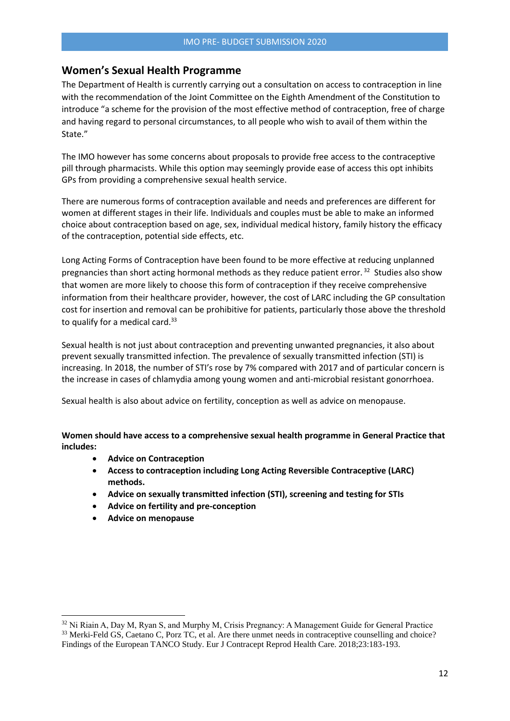# **Women's Sexual Health Programme**

The Department of Health is currently carrying out a consultation on access to contraception in line with the recommendation of the Joint Committee on the Eighth Amendment of the Constitution to introduce "a scheme for the provision of the most effective method of contraception, free of charge and having regard to personal circumstances, to all people who wish to avail of them within the State."

The IMO however has some concerns about proposals to provide free access to the contraceptive pill through pharmacists. While this option may seemingly provide ease of access this opt inhibits GPs from providing a comprehensive sexual health service.

There are numerous forms of contraception available and needs and preferences are different for women at different stages in their life. Individuals and couples must be able to make an informed choice about contraception based on age, sex, individual medical history, family history the efficacy of the contraception, potential side effects, etc.

Long Acting Forms of Contraception have been found to be more effective at reducing unplanned pregnancies than short acting hormonal methods as they reduce patient error.<sup>32</sup> Studies also show that women are more likely to choose this form of contraception if they receive comprehensive information from their healthcare provider, however, the cost of LARC including the GP consultation cost for insertion and removal can be prohibitive for patients, particularly those above the threshold to qualify for a medical card.<sup>33</sup>

Sexual health is not just about contraception and preventing unwanted pregnancies, it also about prevent sexually transmitted infection. The prevalence of sexually transmitted infection (STI) is increasing. In 2018, the number of STI's rose by 7% compared with 2017 and of particular concern is the increase in cases of chlamydia among young women and anti-microbial resistant gonorrhoea.

Sexual health is also about advice on fertility, conception as well as advice on menopause.

**Women should have access to a comprehensive sexual health programme in General Practice that includes:** 

- **Advice on Contraception**
- **Access to contraception including Long Acting Reversible Contraceptive (LARC) methods.**
- **Advice on sexually transmitted infection (STI), screening and testing for STIs**
- **Advice on fertility and pre-conception**
- **Advice on menopause**

<sup>&</sup>lt;sup>32</sup> Ni Riain A, Day M, Ryan S, and Murphy M, Crisis Pregnancy: A Management Guide for General Practice <sup>33</sup> Merki-Feld GS, Caetano C, Porz TC, et al. Are there unmet needs in contraceptive counselling and choice? Findings of the European TANCO Study. Eur J Contracept Reprod Health Care. 2018;23:183-193.